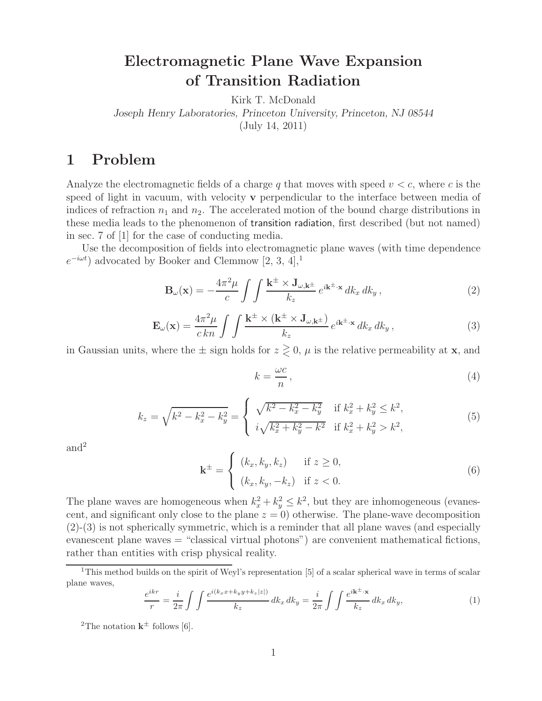## **Electromagnetic Plane Wave Expansion of Transition Radiation**

Kirk T. McDonald *Joseph Henry Laboratories, Princeton University, Princeton, NJ 08544* (July 14, 2011)

### **1 Problem**

Analyze the electromagnetic fields of a charge q that moves with speed  $v < c$ , where c is the speed of light in vacuum, with velocity **v** perpendicular to the interface between media of indices of refraction  $n_1$  and  $n_2$ . The accelerated motion of the bound charge distributions in these media leads to the phenomenon of transition radiation, first described (but not named) in sec. 7 of [1] for the case of conducting media.

Use the decomposition of fields into electromagnetic plane waves (with time dependence  $e^{-i\omega t}$ ) advocated by Booker and Clemmow [2, 3, 4],<sup>1</sup>

$$
\mathbf{B}_{\omega}(\mathbf{x}) = -\frac{4\pi^2\mu}{c} \int \int \frac{\mathbf{k}^{\pm} \times \mathbf{J}_{\omega,\mathbf{k}^{\pm}}}{k_z} e^{i\mathbf{k}^{\pm}\cdot\mathbf{x}} \, dk_x \, dk_y \,, \tag{2}
$$

$$
\mathbf{E}_{\omega}(\mathbf{x}) = \frac{4\pi^2\mu}{c\,kn} \int \int \frac{\mathbf{k}^{\pm} \times (\mathbf{k}^{\pm} \times \mathbf{J}_{\omega,\mathbf{k}^{\pm}})}{k_z} e^{i\mathbf{k}^{\pm}\cdot\mathbf{x}} \, dk_x \, dk_y \,, \tag{3}
$$

in Gaussian units, where the  $\pm$  sign holds for  $z \geq 0$ ,  $\mu$  is the relative permeability at **x**, and

$$
k = \frac{\omega c}{n},\tag{4}
$$

$$
k_z = \sqrt{k^2 - k_x^2 - k_y^2} = \begin{cases} \sqrt{k^2 - k_x^2 - k_y^2} & \text{if } k_x^2 + k_y^2 \le k^2, \\ i\sqrt{k_x^2 + k_y^2 - k^2} & \text{if } k_x^2 + k_y^2 > k^2, \end{cases}
$$
(5)

and<sup>2</sup>

$$
\mathbf{k}^{\pm} = \begin{cases} (k_x, k_y, k_z) & \text{if } z \ge 0, \\ (k_x, k_y, -k_z) & \text{if } z < 0. \end{cases}
$$
 (6)

The plane waves are homogeneous when  $k_x^2 + k_y^2 \leq k^2$ , but they are inhomogeneous (evanescent, and significant only close to the plane  $z = 0$ ) otherwise. The plane-wave decomposition (2)-(3) is not spherically symmetric, which is a reminder that all plane waves (and especially evanescent plane waves = "classical virtual photons") are convenient mathematical fictions, rather than entities with crisp physical reality.

$$
\frac{e^{ikr}}{r} = \frac{i}{2\pi} \int \int \frac{e^{i(k_x x + k_y y + k_z |z|)}}{k_z} dk_x dk_y = \frac{i}{2\pi} \int \int \frac{e^{i\mathbf{k}^\pm \cdot \mathbf{x}}}{k_z} dk_x dk_y,\tag{1}
$$

<sup>2</sup>The notation  $k^{\pm}$  follows [6].

<sup>&</sup>lt;sup>1</sup>This method builds on the spirit of Weyl's representation [5] of a scalar spherical wave in terms of scalar plane waves,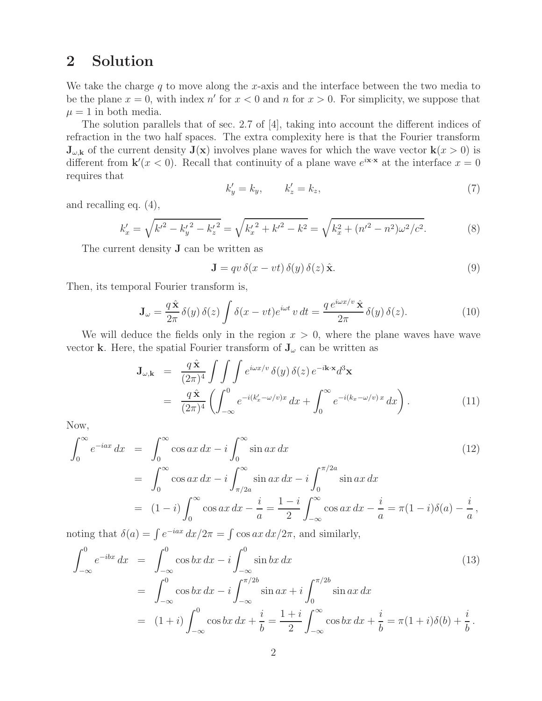## **2 Solution**

We take the charge q to move along the x-axis and the interface between the two media to be the plane  $x = 0$ , with index n' for  $x < 0$  and n for  $x > 0$ . For simplicity, we suppose that  $\mu = 1$  in both media.

The solution parallels that of sec. 2.7 of [4], taking into account the different indices of refraction in the two half spaces. The extra complexity here is that the Fourier transform  $\mathbf{J}_{\omega,\mathbf{k}}$  of the current density  $\mathbf{J}(\mathbf{x})$  involves plane waves for which the wave vector  $\mathbf{k}(x > 0)$  is different from  $\mathbf{k}'(x < 0)$ . Recall that continuity of a plane wave  $e^{i\mathbf{x} \cdot \mathbf{x}}$  at the interface  $x = 0$ requires that

$$
k'_y = k_y, \qquad k'_z = k_z,\tag{7}
$$

and recalling eq. (4),

$$
k'_x = \sqrt{k'^2 - k'_y{}^2 - k'_z{}^2} = \sqrt{k'_x{}^2 + k'^2 - k^2} = \sqrt{k_x^2 + (n'^2 - n^2)\omega^2/c^2}.
$$
 (8)

The current density **J** can be written as

$$
\mathbf{J} = qv \,\delta(x - vt) \,\delta(y) \,\delta(z) \,\hat{\mathbf{x}}.\tag{9}
$$

Then, its temporal Fourier transform is,

$$
\mathbf{J}_{\omega} = \frac{q \hat{\mathbf{x}}}{2\pi} \delta(y) \delta(z) \int \delta(x - vt) e^{i\omega t} v dt = \frac{q e^{i\omega x/v} \hat{\mathbf{x}}}{2\pi} \delta(y) \delta(z).
$$
 (10)

We will deduce the fields only in the region  $x > 0$ , where the plane waves have wave vector **k**. Here, the spatial Fourier transform of  $J_{\omega}$  can be written as

$$
\mathbf{J}_{\omega,\mathbf{k}} = \frac{q \hat{\mathbf{x}}}{(2\pi)^4} \int \int \int e^{i\omega x/v} \delta(y) \delta(z) e^{-i\mathbf{k}\cdot\mathbf{x}} d^3 \mathbf{x}
$$
  
= 
$$
\frac{q \hat{\mathbf{x}}}{(2\pi)^4} \left( \int_{-\infty}^0 e^{-i(k_x'-\omega/v)x} dx + \int_0^\infty e^{-i(k_x-\omega/v)x} dx \right).
$$
 (11)

Now,

$$
\int_0^{\infty} e^{-iax} dx = \int_0^{\infty} \cos ax \, dx - i \int_0^{\infty} \sin ax \, dx \qquad (12)
$$
  
= 
$$
\int_0^{\infty} \cos ax \, dx - i \int_{\pi/2a}^{\infty} \sin ax \, dx - i \int_0^{\pi/2a} \sin ax \, dx
$$
  
= 
$$
(1-i) \int_0^{\infty} \cos ax \, dx - \frac{i}{a} = \frac{1-i}{2} \int_{-\infty}^{\infty} \cos ax \, dx - \frac{i}{a} = \pi (1-i) \delta(a) - \frac{i}{a},
$$

noting that  $\delta(a) = \int e^{-iax} dx/2\pi = \int \cos ax \, dx/2\pi$ , and similarly,

$$
\int_{-\infty}^{0} e^{-ibx} dx = \int_{-\infty}^{0} \cos bx \, dx - i \int_{-\infty}^{0} \sin bx \, dx \qquad (13)
$$
  
= 
$$
\int_{-\infty}^{0} \cos bx \, dx - i \int_{-\infty}^{\pi/2b} \sin ax + i \int_{0}^{\pi/2b} \sin ax \, dx
$$
  
= 
$$
(1+i) \int_{-\infty}^{0} \cos bx \, dx + \frac{i}{b} = \frac{1+i}{2} \int_{-\infty}^{\infty} \cos bx \, dx + \frac{i}{b} = \pi (1+i) \delta(b) + \frac{i}{b}.
$$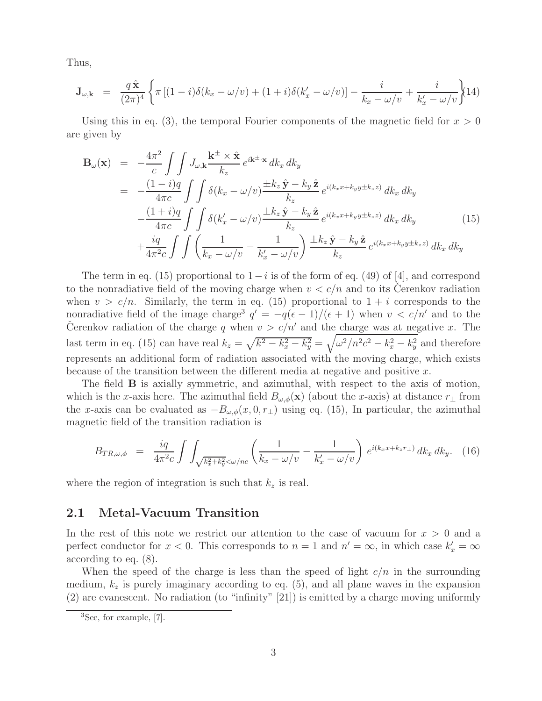Thus,

$$
\mathbf{J}_{\omega,\mathbf{k}} = \frac{q\,\hat{\mathbf{x}}}{(2\pi)^4} \left\{ \pi \left[ (1-i)\delta(k_x - \omega/v) + (1+i)\delta(k_x' - \omega/v) \right] - \frac{i}{k_x - \omega/v} + \frac{i}{k_x' - \omega/v} \right\} (14)
$$

Using this in eq. (3), the temporal Fourier components of the magnetic field for  $x > 0$ are given by

$$
\mathbf{B}_{\omega}(\mathbf{x}) = -\frac{4\pi^2}{c} \int \int J_{\omega,\mathbf{k}} \frac{\mathbf{k}^{\pm} \times \hat{\mathbf{x}}}{k_z} e^{i\mathbf{k}^{\pm} \cdot \mathbf{x}} dk_x dk_y
$$
  
\n
$$
= -\frac{(1-i)q}{4\pi c} \int \int \delta(k_x - \omega/v) \frac{\pm k_z \hat{\mathbf{y}} - k_y \hat{\mathbf{z}}}{k_z} e^{i(k_x x + k_y y \pm k_z z)} dk_x dk_y
$$
  
\n
$$
- \frac{(1+i)q}{4\pi c} \int \int \delta(k_x' - \omega/v) \frac{\pm k_z \hat{\mathbf{y}} - k_y \hat{\mathbf{z}}}{k_z} e^{i(k_x x + k_y y \pm k_z z)} dk_x dk_y
$$
(15)  
\n
$$
+ \frac{iq}{4\pi^2 c} \int \int \left(\frac{1}{k_x - \omega/v} - \frac{1}{k_x' - \omega/v}\right) \frac{\pm k_z \hat{\mathbf{y}} - k_y \hat{\mathbf{z}}}{k_z} e^{i(k_x x + k_y y \pm k_z z)} dk_x dk_y
$$

The term in eq. (15) proportional to  $1-i$  is of the form of eq. (49) of [4], and correspond to the nonradiative field of the moving charge when  $v < c/n$  and to its Cerenkov radiation when  $v > c/n$ . Similarly, the term in eq. (15) proportional to  $1 + i$  corresponds to the nonradiative field of the image charge<sup>3</sup>  $q' = -q(\epsilon - 1)/(\epsilon + 1)$  when  $v < c/n'$  and to the Čerenkov radiation of the charge q when  $v > c/n'$  and the charge was at negative x. The last term in eq. (15) can have real  $k_z = \sqrt{k^2 - k_x^2 - k_y^2} = \sqrt{\omega^2/n^2c^2 - k_x^2 - k_y^2}$  and therefore represents an additional form of radiation associated with the moving charge, which exists because of the transition between the different media at negative and positive x.

The field **B** is axially symmetric, and azimuthal, with respect to the axis of motion, which is the x-axis here. The azimuthal field  $B_{\omega,\phi}(\mathbf{x})$  (about the x-axis) at distance  $r_{\perp}$  from the x-axis can be evaluated as  $-B_{\omega,\phi}(x,0,r_{\perp})$  using eq. (15), In particular, the azimuthal magnetic field of the transition radiation is

$$
B_{TR,\omega,\phi} = \frac{iq}{4\pi^2 c} \int \int_{\sqrt{k_x^2 + k_y^2} < \omega/nc} \left( \frac{1}{k_x - \omega/v} - \frac{1}{k_x' - \omega/v} \right) e^{i(k_x x + k_z r_\perp)} dk_x dk_y. \tag{16}
$$

where the region of integration is such that  $k_z$  is real.

### **2.1 Metal-Vacuum Transition**

In the rest of this note we restrict our attention to the case of vacuum for  $x > 0$  and a perfect conductor for  $x < 0$ . This corresponds to  $n = 1$  and  $n' = \infty$ , in which case  $k'_x = \infty$ according to eq. (8).

When the speed of the charge is less than the speed of light  $c/n$  in the surrounding medium,  $k_z$  is purely imaginary according to eq. (5), and all plane waves in the expansion (2) are evanescent. No radiation (to "infinity" [21]) is emitted by a charge moving uniformly

<sup>3</sup>See, for example, [7].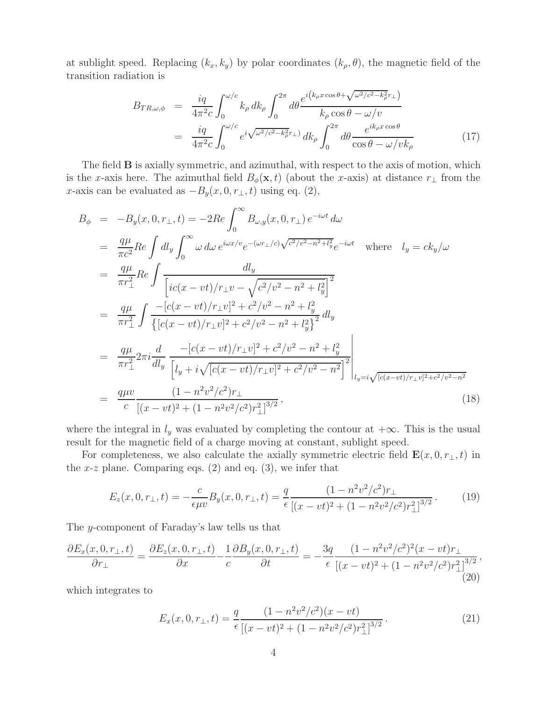at sublight speed. Replacing  $(k_x, k_y)$  by polar coordinates  $(k_\rho, \theta)$ , the magnetic field of the transition radiation is

$$
B_{TR,\omega,\phi} = \frac{iq}{4\pi^2 c} \int_0^{\omega/c} k_{\rho} dk_{\rho} \int_0^{2\pi} d\theta \frac{e^{i(k_{\rho}x\cos\theta + \sqrt{\omega^2/c^2 - k_{\rho}^2}r_{\perp})}}{k_{\rho}\cos\theta - \omega/v}
$$
  

$$
= \frac{iq}{4\pi^2 c} \int_0^{\omega/c} e^{i\sqrt{\omega^2/c^2 - k_{\rho}^2}r_{\perp}} dk_{\rho} \int_0^{2\pi} d\theta \frac{e^{ik_{\rho}x\cos\theta}}{\cos\theta - \omega/vk_{\rho}}
$$
(17)

The field **B** is axially symmetric, and azimuthal, with respect to the axis of motion, which is the x-axis here. The azimuthal field  $B_{\phi}(\mathbf{x}, t)$  (about the x-axis) at distance  $r_{\perp}$  from the x-axis can be evaluated as  $-B_y(x, 0, r_\perp, t)$  using eq. (2),

$$
B_{\phi} = -B_{y}(x, 0, r_{\perp}, t) = -2Re \int_{0}^{\infty} B_{\omega, y}(x, 0, r_{\perp}) e^{-i\omega t} d\omega
$$
  
\n
$$
= \frac{q\mu}{\pi c^{2}} Re \int d l_{y} \int_{0}^{\infty} \omega d\omega e^{i\omega x/v} e^{-(\omega r_{\perp}/c)\sqrt{c^{2}/v^{2}-n^{2}+l_{y}^{2}}} e^{-i\omega t} \text{ where } l_{y} = ck_{y}/\omega
$$
  
\n
$$
= \frac{q\mu}{\pi r_{\perp}^{2}} Re \int \frac{d l_{y}}{[ic(x - vt)/r_{\perp}v - \sqrt{c^{2}/v^{2}-n^{2}+l_{y}^{2}}]^{2}}
$$
  
\n
$$
= \frac{q\mu}{\pi r_{\perp}^{2}} \int \frac{-[c(x - vt)/r_{\perp}v]^{2} + c^{2}/v^{2} - n^{2}+l_{y}^{2}}{\{[c(x - vt)/r_{\perp}v]^{2} + c^{2}/v^{2} - n^{2}+l_{y}^{2}\}} d l_{y}
$$
  
\n
$$
= \frac{q\mu}{\pi r_{\perp}^{2}} 2\pi i \frac{d}{d l_{y}} \frac{-[c(x - vt)/r_{\perp}v]^{2} + c^{2}/v^{2} - n^{2}+l_{y}^{2}}{[l_{y} + i\sqrt{[c(x - vt)/r_{\perp}v]^{2} + c^{2}/v^{2} - n^{2}}]^{2}} \Bigg|_{l_{y} = i\sqrt{[c(x - vt)/r_{\perp}v]^{2} + c^{2}/v^{2} - n^{2}}}
$$
  
\n
$$
= \frac{q\mu v}{c} \frac{(1 - n^{2}v^{2}/c^{2})r_{\perp}}{[(x - vt)^{2} + (1 - n^{2}v^{2}/c^{2})r_{\perp}^{2}]^{3/2}},
$$
\n(18)

where the integral in  $l_y$  was evaluated by completing the contour at  $+\infty$ . This is the usual result for the magnetic field of a charge moving at constant, sublight speed.

For completeness, we also calculate the axially symmetric electric field  $\mathbf{E}(x, 0, r_{\perp}, t)$  in the x-z plane. Comparing eqs.  $(2)$  and eq.  $(3)$ , we infer that

$$
E_z(x,0,r_{\perp},t) = -\frac{c}{\epsilon \mu v} B_y(x,0,r_{\perp},t) = \frac{q}{\epsilon} \frac{(1 - n^2 v^2/c^2) r_{\perp}}{[(x - vt)^2 + (1 - n^2 v^2/c^2) r_{\perp}^2]^{3/2}}.
$$
(19)

The y-component of Faraday's law tells us that

$$
\frac{\partial E_x(x,0,r_\perp,t)}{\partial r_\perp} = \frac{\partial E_z(x,0,r_\perp,t)}{\partial x} - \frac{1}{c} \frac{\partial B_y(x,0,r_\perp,t)}{\partial t} = -\frac{3q}{\epsilon} \frac{(1 - n^2 v^2/c^2)^2 (x - vt)r_\perp}{[(x - vt)^2 + (1 - n^2 v^2/c^2)r_\perp^2]^{3/2}},\tag{20}
$$

which integrates to

$$
E_x(x, 0, r_{\perp}, t) = \frac{q}{\epsilon} \frac{(1 - n^2 v^2/c^2)(x - vt)}{\left[ (x - vt)^2 + (1 - n^2 v^2/c^2) r_{\perp}^2 \right]^{3/2}}.
$$
\n(21)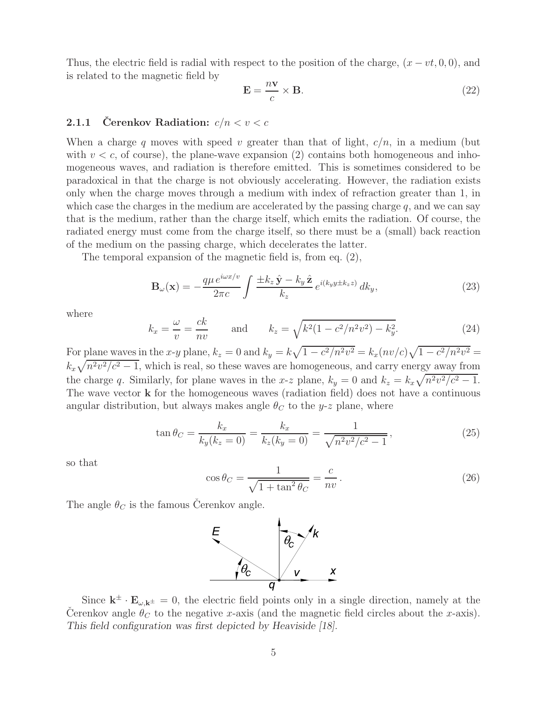Thus, the electric field is radial with respect to the position of the charge,  $(x - vt, 0, 0)$ , and is related to the magnetic field by

$$
\mathbf{E} = \frac{n\mathbf{v}}{c} \times \mathbf{B}.\tag{22}
$$

#### **2.1.1** Čerenkov Radiation:  $c/n < v < c$

When a charge q moves with speed v greater than that of light,  $c/n$ , in a medium (but with  $v < c$ , of course), the plane-wave expansion (2) contains both homogeneous and inhomogeneous waves, and radiation is therefore emitted. This is sometimes considered to be paradoxical in that the charge is not obviously accelerating. However, the radiation exists only when the charge moves through a medium with index of refraction greater than 1, in which case the charges in the medium are accelerated by the passing charge  $q$ , and we can say that is the medium, rather than the charge itself, which emits the radiation. Of course, the radiated energy must come from the charge itself, so there must be a (small) back reaction of the medium on the passing charge, which decelerates the latter.

The temporal expansion of the magnetic field is, from eq. (2),

$$
\mathbf{B}_{\omega}(\mathbf{x}) = -\frac{q\mu e^{i\omega x/v}}{2\pi c} \int \frac{\pm k_z \hat{\mathbf{y}} - k_y \hat{\mathbf{z}}}{k_z} e^{i(k_y y \pm k_z z)} dk_y,
$$
(23)

where

$$
k_x = \frac{\omega}{v} = \frac{ck}{nv}
$$
 and  $k_z = \sqrt{k^2(1 - c^2/n^2v^2) - k_y^2}$ . (24)

For plane waves in the x-y plane,  $k_z = 0$  and  $k_y = k\sqrt{1 - c^2/n^2v^2} = k_x(nv/c)\sqrt{1 - c^2/n^2v^2} =$  $k_x\sqrt{n^2v^2/c^2-1}$ , which is real, so these waves are homogeneous, and carry energy away from the charge q. Similarly, for plane waves in the x-z plane,  $k_y = 0$  and  $k_z = k_x \sqrt{n^2 v^2/c^2 - 1}$ . The wave vector **k** for the homogeneous waves (radiation field) does not have a continuous angular distribution, but always makes angle  $\theta_C$  to the y-z plane, where

$$
\tan \theta_C = \frac{k_x}{k_y(k_z = 0)} = \frac{k_x}{k_z(k_y = 0)} = \frac{1}{\sqrt{n^2 v^2/c^2 - 1}},
$$
\n(25)

so that

$$
\cos \theta_C = \frac{1}{\sqrt{1 + \tan^2 \theta_C}} = \frac{c}{nv}.
$$
\n(26)

The angle  $\theta_C$  is the famous Cerenkov angle.



Since  $\mathbf{k}^{\pm} \cdot \mathbf{E}_{\omega, \mathbf{k}^{\pm}} = 0$ , the electric field points only in a single direction, namely at the Cerenkov angle  $\theta_C$  to the negative x-axis (and the magnetic field circles about the x-axis). *This field configuration was first depicted by Heaviside [18].*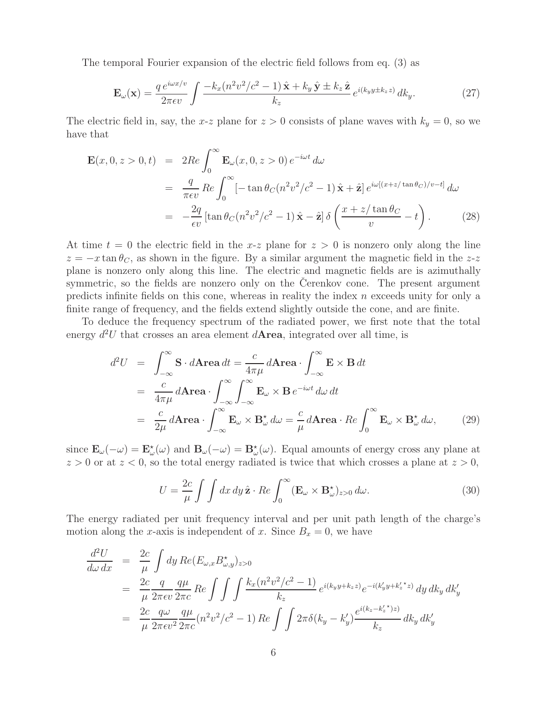The temporal Fourier expansion of the electric field follows from eq. (3) as

$$
\mathbf{E}_{\omega}(\mathbf{x}) = \frac{q e^{i\omega x/v}}{2\pi\epsilon v} \int \frac{-k_x (n^2 v^2/c^2 - 1) \hat{\mathbf{x}} + k_y \hat{\mathbf{y}} \pm k_z \hat{\mathbf{z}}}{k_z} e^{i(k_y y \pm k_z z)} dk_y.
$$
 (27)

The electric field in, say, the x-z plane for  $z > 0$  consists of plane waves with  $k_y = 0$ , so we have that

$$
\mathbf{E}(x,0,z>0,t) = 2Re \int_0^\infty \mathbf{E}_{\omega}(x,0,z>0) e^{-i\omega t} d\omega
$$
  
\n
$$
= \frac{q}{\pi \epsilon v} Re \int_0^\infty \left[ -\tan \theta_C (n^2 v^2/c^2 - 1) \hat{\mathbf{x}} + \hat{\mathbf{z}} \right] e^{i\omega[(x+z/\tan\theta_C)/v-t]} d\omega
$$
  
\n
$$
= -\frac{2q}{\epsilon v} \left[ \tan \theta_C (n^2 v^2/c^2 - 1) \hat{\mathbf{x}} - \hat{\mathbf{z}} \right] \delta \left( \frac{x+z/\tan\theta_C}{v} - t \right). \tag{28}
$$

At time  $t = 0$  the electric field in the x-z plane for  $z > 0$  is nonzero only along the line  $z = -x \tan \theta_C$ , as shown in the figure. By a similar argument the magnetic field in the z-z plane is nonzero only along this line. The electric and magnetic fields are is azimuthally symmetric, so the fields are nonzero only on the Cerenkov cone. The present argument predicts infinite fields on this cone, whereas in reality the index  $n$  exceeds unity for only a finite range of frequency, and the fields extend slightly outside the cone, and are finite.

To deduce the frequency spectrum of the radiated power, we first note that the total energy  $d^2U$  that crosses an area element  $d$ **Area**, integrated over all time, is

$$
d^2U = \int_{-\infty}^{\infty} \mathbf{S} \cdot d\mathbf{Area} dt = \frac{c}{4\pi\mu} d\mathbf{Area} \cdot \int_{-\infty}^{\infty} \mathbf{E} \times \mathbf{B} dt
$$
  
= 
$$
\frac{c}{4\pi\mu} d\mathbf{Area} \cdot \int_{-\infty}^{\infty} \int_{-\infty}^{\infty} \mathbf{E}_{\omega} \times \mathbf{B} e^{-i\omega t} d\omega dt
$$
  
= 
$$
\frac{c}{2\mu} d\mathbf{Area} \cdot \int_{-\infty}^{\infty} \mathbf{E}_{\omega} \times \mathbf{B}_{\omega}^{\star} d\omega = \frac{c}{\mu} d\mathbf{Area} \cdot Re \int_{0}^{\infty} \mathbf{E}_{\omega} \times \mathbf{B}_{\omega}^{\star} d\omega,
$$
 (29)

since  $\mathbf{E}_{\omega}(-\omega) = \mathbf{E}_{\omega}^{\star}(\omega)$  and  $\mathbf{B}_{\omega}(-\omega) = \mathbf{B}_{\omega}^{\star}(\omega)$ . Equal amounts of energy cross any plane at  $z > 0$  or at  $z < 0$ , so the total energy radiated is twice that which crosses a plane at  $z > 0$ ,

$$
U = \frac{2c}{\mu} \int \int dx \, dy \, \hat{\mathbf{z}} \cdot Re \int_0^\infty (\mathbf{E}_{\omega} \times \mathbf{B}_{\omega}^{\star})_{z>0} \, d\omega. \tag{30}
$$

The energy radiated per unit frequency interval and per unit path length of the charge's motion along the x-axis is independent of x. Since  $B_x = 0$ , we have

$$
\frac{d^2U}{d\omega dx} = \frac{2c}{\mu} \int dy \, Re(E_{\omega,x} B_{\omega,y}^{\star})_{z>0}
$$
\n
$$
= \frac{2c}{\mu} \frac{q}{2\pi \epsilon v} \frac{q\mu}{2\pi c} \, Re \int \int \int \frac{k_x (n^2 v^2 / c^2 - 1)}{k_z} e^{i(k_y y + k_z z)} e^{-i(k_y' y + k_z' z)} \, dy \, dk_y \, dk_y'
$$
\n
$$
= \frac{2c}{\mu} \frac{q\omega}{2\pi \epsilon v^2} \frac{q\mu}{2\pi c} (n^2 v^2 / c^2 - 1) \, Re \int \int 2\pi \delta (k_y - k_y') \frac{e^{i(k_z - k_z' \star)z)}}{k_z} \, dk_y \, dk_y'
$$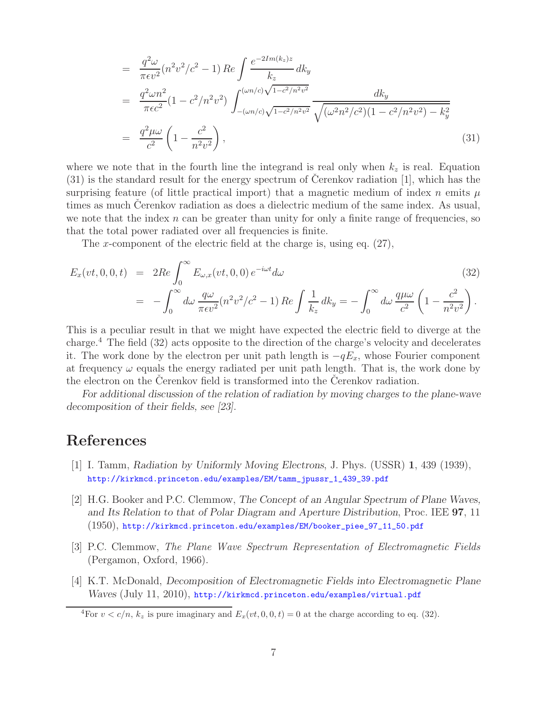$$
= \frac{q^2 \omega}{\pi \epsilon v^2} (n^2 v^2/c^2 - 1) \operatorname{Re} \int \frac{e^{-2I m(k_z)z}}{k_z} dk_y
$$
  
\n
$$
= \frac{q^2 \omega n^2}{\pi \epsilon c^2} (1 - c^2/n^2 v^2) \int_{-(\omega n/c)\sqrt{1 - c^2/n^2 v^2}}^{(\omega n/c)\sqrt{1 - c^2/n^2 v^2}} \frac{dk_y}{\sqrt{(\omega^2 n^2/c^2)(1 - c^2/n^2 v^2) - k_y^2}}
$$
  
\n
$$
= \frac{q^2 \mu \omega}{c^2} \left(1 - \frac{c^2}{n^2 v^2}\right), \qquad (31)
$$

where we note that in the fourth line the integrand is real only when  $k_z$  is real. Equation  $(31)$  is the standard result for the energy spectrum of Cerenkov radiation [1], which has the surprising feature (of little practical import) that a magnetic medium of index n emits  $\mu$ times as much Cerenkov radiation as does a dielectric medium of the same index. As usual, we note that the index  $n$  can be greater than unity for only a finite range of frequencies, so that the total power radiated over all frequencies is finite.

The x-component of the electric field at the charge is, using eq. (27),

$$
E_x(vt, 0, 0, t) = 2Re \int_0^{\infty} E_{\omega, x}(vt, 0, 0) e^{-i\omega t} d\omega
$$
\n
$$
= -\int_0^{\infty} d\omega \frac{q\omega}{\pi \epsilon v^2} (n^2 v^2/c^2 - 1) Re \int \frac{1}{k_z} dk_y = -\int_0^{\infty} d\omega \frac{q\mu\omega}{c^2} \left(1 - \frac{c^2}{n^2 v^2}\right).
$$
\n(32)

This is a peculiar result in that we might have expected the electric field to diverge at the charge.<sup>4</sup> The field (32) acts opposite to the direction of the charge's velocity and decelerates it. The work done by the electron per unit path length is  $-qE_x$ , whose Fourier component at frequency  $\omega$  equals the energy radiated per unit path length. That is, the work done by the electron on the Cerenkov field is transformed into the Cerenkov radiation.

*For additional discussion of the relation of radiation by moving charges to the plane-wave decomposition of their fields, see [23].*

# **References**

- [1] I. Tamm, *Radiation by Uniformly Moving Electrons*, J. Phys. (USSR) **1**, 439 (1939), http://kirkmcd.princeton.edu/examples/EM/tamm\_jpussr\_1\_439\_39.pdf
- [2] H.G. Booker and P.C. Clemmow, *The Concept of an Angular Spectrum of Plane Waves, and Its Relation to that of Polar Diagram and Aperture Distribution*, Proc. IEE **97**, 11 (1950), http://kirkmcd.princeton.edu/examples/EM/booker\_piee\_97\_11\_50.pdf
- [3] P.C. Clemmow, *The Plane Wave Spectrum Representation of Electromagnetic Fields* (Pergamon, Oxford, 1966).
- [4] K.T. McDonald, *Decomposition of Electromagnetic Fields into Electromagnetic Plane Waves* (July 11, 2010), http://kirkmcd.princeton.edu/examples/virtual.pdf

<sup>&</sup>lt;sup>4</sup>For  $v < c/n$ ,  $k_z$  is pure imaginary and  $E_x(vt, 0, 0, t) = 0$  at the charge according to eq. (32).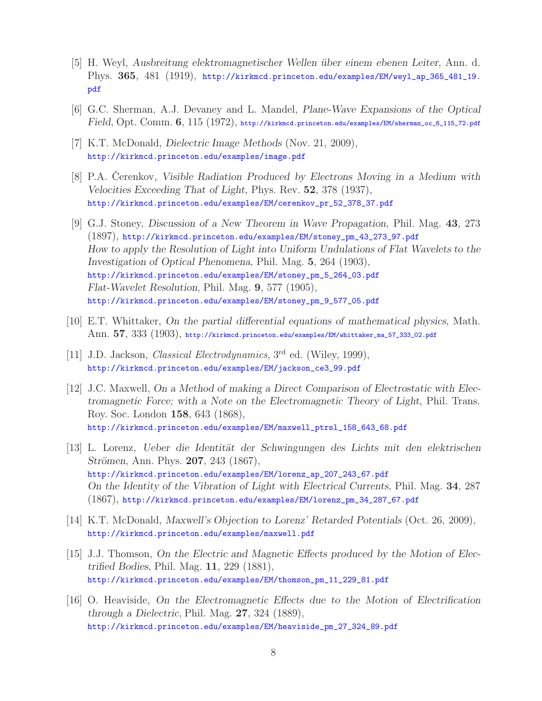- [5] H. Weyl, *Ausbreitung elektromagnetischer Wellen ¨uber einem ebenen Leiter*, Ann. d. Phys. **365**, 481 (1919), http://kirkmcd.princeton.edu/examples/EM/weyl\_ap\_365\_481\_19. pdf
- [6] G.C. Sherman, A.J. Devaney and L. Mandel, *Plane-Wave Expansions of the Optical Field*, Opt. Comm. **6**, 115 (1972), http://kirkmcd.princeton.edu/examples/EM/sherman\_oc\_6\_115\_72.pdf
- [7] K.T. McDonald, *Dielectric Image Methods* (Nov. 21, 2009), http://kirkmcd.princeton.edu/examples/image.pdf
- [8] P.A. Cerenkov, *Visible Radiation Produced by Electrons Moving in a Medium with Velocities Exceeding That of Light*, Phys. Rev. **52**, 378 (1937), http://kirkmcd.princeton.edu/examples/EM/cerenkov\_pr\_52\_378\_37.pdf
- [9] G.J. Stoney, *Discussion of a New Theorem in Wave Propagation*, Phil. Mag. **43**, 273 (1897), http://kirkmcd.princeton.edu/examples/EM/stoney\_pm\_43\_273\_97.pdf *How to apply the Resolution of Light into Uniform Undulations of Flat Wavelets to the Investigation of Optical Phenomena*, Phil. Mag. **5**, 264 (1903), http://kirkmcd.princeton.edu/examples/EM/stoney\_pm\_5\_264\_03.pdf *Flat-Wavelet Resolution*, Phil. Mag. **9**, 577 (1905), http://kirkmcd.princeton.edu/examples/EM/stoney\_pm\_9\_577\_05.pdf
- [10] E.T. Whittaker, *On the partial differential equations of mathematical physics*, Math. Ann. **57**, 333 (1903), http://kirkmcd.princeton.edu/examples/EM/whittaker\_ma\_57\_333\_02.pdf
- [11] J.D. Jackson, *Classical Electrodynamics*, 3rd ed. (Wiley, 1999), http://kirkmcd.princeton.edu/examples/EM/jackson\_ce3\_99.pdf
- [12] J.C. Maxwell, *On a Method of making a Direct Comparison of Electrostatic with Electromagnetic Force; with a Note on the Electromagnetic Theory of Light*, Phil. Trans. Roy. Soc. London **158**, 643 (1868), http://kirkmcd.princeton.edu/examples/EM/maxwell\_ptrsl\_158\_643\_68.pdf
- [13] L. Lorenz, *Ueber die Identit¨at der Schwingungen des Lichts mit den elektrischen Strömen, Ann. Phys.* **207**, 243 (1867), http://kirkmcd.princeton.edu/examples/EM/lorenz\_ap\_207\_243\_67.pdf *On the Identity of the Vibration of Light with Electrical Currents*, Phil. Mag. **34**, 287 (1867), http://kirkmcd.princeton.edu/examples/EM/lorenz\_pm\_34\_287\_67.pdf
- [14] K.T. McDonald, *Maxwell's Objection to Lorenz' Retarded Potentials* (Oct. 26, 2009), http://kirkmcd.princeton.edu/examples/maxwell.pdf
- [15] J.J. Thomson, *On the Electric and Magnetic Effects produced by the Motion of Electrified Bodies*, Phil. Mag. **11**, 229 (1881), http://kirkmcd.princeton.edu/examples/EM/thomson\_pm\_11\_229\_81.pdf
- [16] O. Heaviside, *On the Electromagnetic Effects due to the Motion of Electrification through a Dielectric*, Phil. Mag. **27**, 324 (1889), http://kirkmcd.princeton.edu/examples/EM/heaviside\_pm\_27\_324\_89.pdf